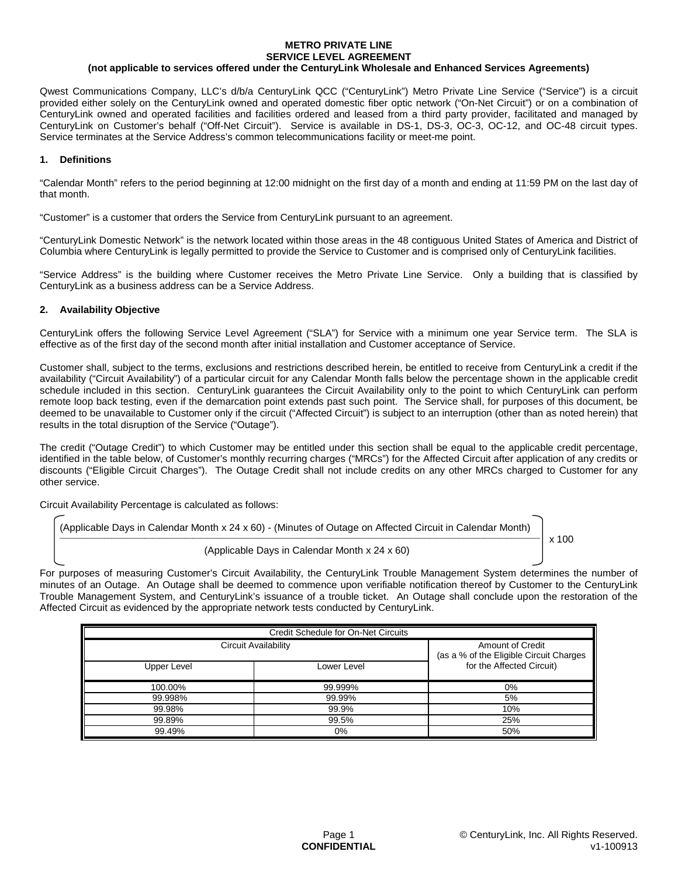#### **METRO PRIVATE LINE SERVICE LEVEL AGREEMENT (not applicable to services offered under the CenturyLink Wholesale and Enhanced Services Agreements)**

Qwest Communications Company, LLC's d/b/a CenturyLink QCC ("CenturyLink") Metro Private Line Service ("Service") is a circuit provided either solely on the CenturyLink owned and operated domestic fiber optic network ("On-Net Circuit") or on a combination of CenturyLink owned and operated facilities and facilities ordered and leased from a third party provider, facilitated and managed by CenturyLink on Customer's behalf ("Off-Net Circuit"). Service is available in DS-1, DS-3, OC-3, OC-12, and OC-48 circuit types. Service terminates at the Service Address's common telecommunications facility or meet-me point.

## **1. Definitions**

"Calendar Month" refers to the period beginning at 12:00 midnight on the first day of a month and ending at 11:59 PM on the last day of that month.

"Customer" is a customer that orders the Service from CenturyLink pursuant to an agreement.

"CenturyLink Domestic Network" is the network located within those areas in the 48 contiguous United States of America and District of Columbia where CenturyLink is legally permitted to provide the Service to Customer and is comprised only of CenturyLink facilities.

"Service Address" is the building where Customer receives the Metro Private Line Service. Only a building that is classified by CenturyLink as a business address can be a Service Address.

# **2. Availability Objective**

CenturyLink offers the following Service Level Agreement ("SLA") for Service with a minimum one year Service term. The SLA is effective as of the first day of the second month after initial installation and Customer acceptance of Service.

Customer shall, subject to the terms, exclusions and restrictions described herein, be entitled to receive from CenturyLink a credit if the availability ("Circuit Availability") of a particular circuit for any Calendar Month falls below the percentage shown in the applicable credit schedule included in this section. CenturyLink guarantees the Circuit Availability only to the point to which CenturyLink can perform remote loop back testing, even if the demarcation point extends past such point. The Service shall, for purposes of this document, be deemed to be unavailable to Customer only if the circuit ("Affected Circuit") is subject to an interruption (other than as noted herein) that results in the total disruption of the Service ("Outage").

The credit ("Outage Credit") to which Customer may be entitled under this section shall be equal to the applicable credit percentage, identified in the table below, of Customer's monthly recurring charges ("MRCs") for the Affected Circuit after application of any credits or discounts ("Eligible Circuit Charges"). The Outage Credit shall not include credits on any other MRCs charged to Customer for any other service.

Circuit Availability Percentage is calculated as follows:

(Applicable Days in Calendar Month x 24 x 60) - (Minutes of Outage on Affected Circuit in Calendar Month)  $\sim$  x 100

(Applicable Days in Calendar Month x 24 x 60)

For purposes of measuring Customer's Circuit Availability, the CenturyLink Trouble Management System determines the number of minutes of an Outage. An Outage shall be deemed to commence upon verifiable notification thereof by Customer to the CenturyLink Trouble Management System, and CenturyLink's issuance of a trouble ticket. An Outage shall conclude upon the restoration of the Affected Circuit as evidenced by the appropriate network tests conducted by CenturyLink.

| Credit Schedule for On-Net Circuits |             |                                                             |  |
|-------------------------------------|-------------|-------------------------------------------------------------|--|
| <b>Circuit Availability</b>         |             | Amount of Credit<br>(as a % of the Eligible Circuit Charges |  |
| Upper Level                         | Lower Level | for the Affected Circuit)                                   |  |
| 100.00%                             | 99.999%     | 0%                                                          |  |
| 99.998%                             | 99.99%      | 5%                                                          |  |
| 99.98%                              | 99.9%       | 10%                                                         |  |
| 99.89%                              | 99.5%       | 25%                                                         |  |
| 99.49%                              | 0%          | 50%                                                         |  |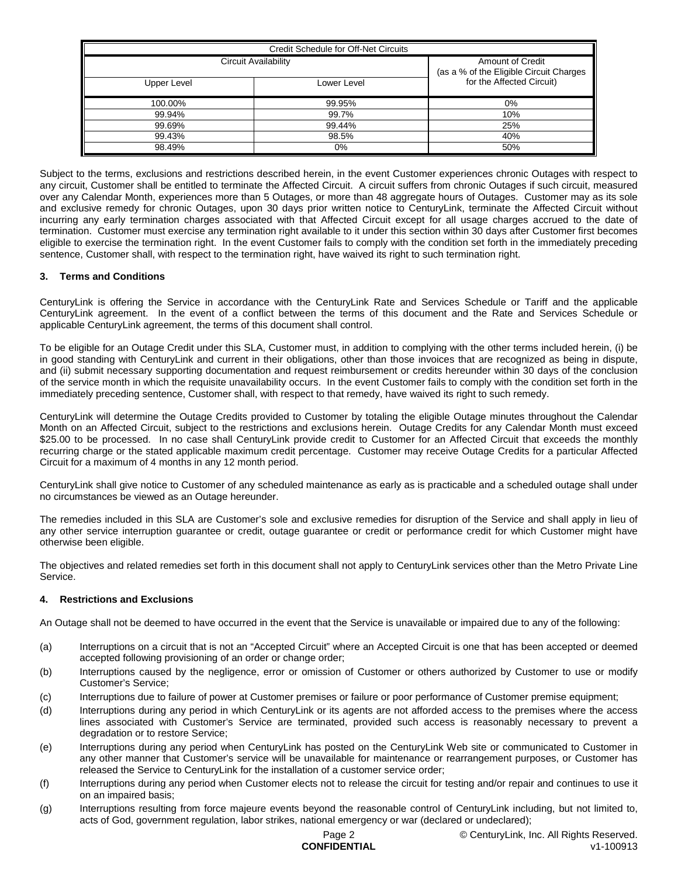| Credit Schedule for Off-Net Circuits |             |                                                                    |  |
|--------------------------------------|-------------|--------------------------------------------------------------------|--|
| Circuit Availability                 |             | <b>Amount of Credit</b><br>(as a % of the Eligible Circuit Charges |  |
| <b>Upper Level</b>                   | Lower Level | for the Affected Circuit)                                          |  |
| 100.00%                              | 99.95%      | 0%                                                                 |  |
| 99.94%                               | 99.7%       | 10%                                                                |  |
| 99.69%                               | 99.44%      | 25%                                                                |  |
| 99.43%                               | 98.5%       | 40%                                                                |  |
| 98.49%                               | 0%          | 50%                                                                |  |

Subject to the terms, exclusions and restrictions described herein, in the event Customer experiences chronic Outages with respect to any circuit, Customer shall be entitled to terminate the Affected Circuit. A circuit suffers from chronic Outages if such circuit, measured over any Calendar Month, experiences more than 5 Outages, or more than 48 aggregate hours of Outages. Customer may as its sole and exclusive remedy for chronic Outages, upon 30 days prior written notice to CenturyLink, terminate the Affected Circuit without incurring any early termination charges associated with that Affected Circuit except for all usage charges accrued to the date of termination. Customer must exercise any termination right available to it under this section within 30 days after Customer first becomes eligible to exercise the termination right. In the event Customer fails to comply with the condition set forth in the immediately preceding sentence, Customer shall, with respect to the termination right, have waived its right to such termination right.

# **3. Terms and Conditions**

CenturyLink is offering the Service in accordance with the CenturyLink Rate and Services Schedule or Tariff and the applicable CenturyLink agreement. In the event of a conflict between the terms of this document and the Rate and Services Schedule or applicable CenturyLink agreement, the terms of this document shall control.

To be eligible for an Outage Credit under this SLA, Customer must, in addition to complying with the other terms included herein, (i) be in good standing with CenturyLink and current in their obligations, other than those invoices that are recognized as being in dispute, and (ii) submit necessary supporting documentation and request reimbursement or credits hereunder within 30 days of the conclusion of the service month in which the requisite unavailability occurs. In the event Customer fails to comply with the condition set forth in the immediately preceding sentence, Customer shall, with respect to that remedy, have waived its right to such remedy.

CenturyLink will determine the Outage Credits provided to Customer by totaling the eligible Outage minutes throughout the Calendar Month on an Affected Circuit, subject to the restrictions and exclusions herein. Outage Credits for any Calendar Month must exceed \$25.00 to be processed. In no case shall CenturyLink provide credit to Customer for an Affected Circuit that exceeds the monthly recurring charge or the stated applicable maximum credit percentage. Customer may receive Outage Credits for a particular Affected Circuit for a maximum of 4 months in any 12 month period.

CenturyLink shall give notice to Customer of any scheduled maintenance as early as is practicable and a scheduled outage shall under no circumstances be viewed as an Outage hereunder.

The remedies included in this SLA are Customer's sole and exclusive remedies for disruption of the Service and shall apply in lieu of any other service interruption guarantee or credit, outage guarantee or credit or performance credit for which Customer might have otherwise been eligible.

The objectives and related remedies set forth in this document shall not apply to CenturyLink services other than the Metro Private Line Service.

### **4. Restrictions and Exclusions**

An Outage shall not be deemed to have occurred in the event that the Service is unavailable or impaired due to any of the following:

- (a) Interruptions on a circuit that is not an "Accepted Circuit" where an Accepted Circuit is one that has been accepted or deemed accepted following provisioning of an order or change order;
- (b) Interruptions caused by the negligence, error or omission of Customer or others authorized by Customer to use or modify Customer's Service;
- (c) Interruptions due to failure of power at Customer premises or failure or poor performance of Customer premise equipment;
- (d) Interruptions during any period in which CenturyLink or its agents are not afforded access to the premises where the access lines associated with Customer's Service are terminated, provided such access is reasonably necessary to prevent a degradation or to restore Service;
- (e) Interruptions during any period when CenturyLink has posted on the CenturyLink Web site or communicated to Customer in any other manner that Customer's service will be unavailable for maintenance or rearrangement purposes, or Customer has released the Service to CenturyLink for the installation of a customer service order;
- (f) Interruptions during any period when Customer elects not to release the circuit for testing and/or repair and continues to use it on an impaired basis;
- (g) Interruptions resulting from force majeure events beyond the reasonable control of CenturyLink including, but not limited to, acts of God, government regulation, labor strikes, national emergency or war (declared or undeclared);